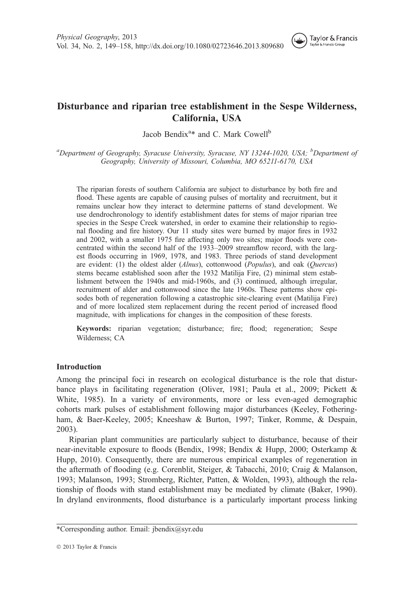

# Disturbance and riparian tree establishment in the Sespe Wilderness, California, USA

Jacob Bendix<sup>a\*</sup> and C. Mark Cowell<sup>b</sup>

<sup>a</sup>Department of Geography, Syracuse University, Syracuse, NY 13244-1020, USA; <sup>b</sup>Department of Geography, University of Missouri, Columbia, MO 65211-6170, USA

The riparian forests of southern California are subject to disturbance by both fire and flood. These agents are capable of causing pulses of mortality and recruitment, but it remains unclear how they interact to determine patterns of stand development. We use dendrochronology to identify establishment dates for stems of major riparian tree species in the Sespe Creek watershed, in order to examine their relationship to regional flooding and fire history. Our 11 study sites were burned by major fires in 1932 and 2002, with a smaller 1975 fire affecting only two sites; major floods were concentrated within the second half of the 1933–2009 streamflow record, with the largest floods occurring in 1969, 1978, and 1983. Three periods of stand development are evident: (1) the oldest alder  $(Alnus)$ , cottonwood (*Populus*), and oak (*Quercus*) stems became established soon after the 1932 Matilija Fire, (2) minimal stem establishment between the 1940s and mid-1960s, and (3) continued, although irregular, recruitment of alder and cottonwood since the late 1960s. These patterns show episodes both of regeneration following a catastrophic site-clearing event (Matilija Fire) and of more localized stem replacement during the recent period of increased flood magnitude, with implications for changes in the composition of these forests.

Keywords: riparian vegetation; disturbance; fire; flood; regeneration; Sespe Wilderness; CA

## Introduction

Among the principal foci in research on ecological disturbance is the role that disturbance plays in facilitating regeneration (Oliver, 1981; Paula et al., 2009; Pickett & White, 1985). In a variety of environments, more or less even-aged demographic cohorts mark pulses of establishment following major disturbances (Keeley, Fotheringham, & Baer-Keeley, 2005; Kneeshaw & Burton, 1997; Tinker, Romme, & Despain, 2003).

Riparian plant communities are particularly subject to disturbance, because of their near-inevitable exposure to floods (Bendix, 1998; Bendix & Hupp, 2000; Osterkamp & Hupp, 2010). Consequently, there are numerous empirical examples of regeneration in the aftermath of flooding (e.g. Corenblit, Steiger, & Tabacchi, 2010; Craig & Malanson, 1993; Malanson, 1993; Stromberg, Richter, Patten, & Wolden, 1993), although the relationship of floods with stand establishment may be mediated by climate (Baker, 1990). In dryland environments, flood disturbance is a particularly important process linking

<sup>\*</sup>Corresponding author. Email: jbendix@syr.edu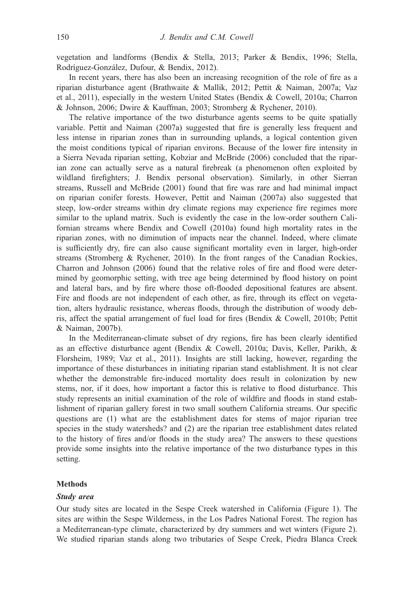vegetation and landforms (Bendix & Stella, 2013; Parker & Bendix, 1996; Stella, Rodríguez-González, Dufour, & Bendix, 2012).

In recent years, there has also been an increasing recognition of the role of fire as a riparian disturbance agent (Brathwaite & Mallik, 2012; Pettit & Naiman, 2007a; Vaz et al., 2011), especially in the western United States (Bendix & Cowell, 2010a; Charron & Johnson, 2006; Dwire & Kauffman, 2003; Stromberg & Rychener, 2010).

The relative importance of the two disturbance agents seems to be quite spatially variable. Pettit and Naiman (2007a) suggested that fire is generally less frequent and less intense in riparian zones than in surrounding uplands, a logical contention given the moist conditions typical of riparian environs. Because of the lower fire intensity in a Sierra Nevada riparian setting, Kobziar and McBride (2006) concluded that the riparian zone can actually serve as a natural firebreak (a phenomenon often exploited by wildland firefighters; J. Bendix personal observation). Similarly, in other Sierran streams, Russell and McBride (2001) found that fire was rare and had minimal impact on riparian conifer forests. However, Pettit and Naiman (2007a) also suggested that steep, low-order streams within dry climate regions may experience fire regimes more similar to the upland matrix. Such is evidently the case in the low-order southern Californian streams where Bendix and Cowell (2010a) found high mortality rates in the riparian zones, with no diminution of impacts near the channel. Indeed, where climate is sufficiently dry, fire can also cause significant mortality even in larger, high-order streams (Stromberg & Rychener, 2010). In the front ranges of the Canadian Rockies, Charron and Johnson (2006) found that the relative roles of fire and flood were determined by geomorphic setting, with tree age being determined by flood history on point and lateral bars, and by fire where those oft-flooded depositional features are absent. Fire and floods are not independent of each other, as fire, through its effect on vegetation, alters hydraulic resistance, whereas floods, through the distribution of woody debris, affect the spatial arrangement of fuel load for fires (Bendix & Cowell, 2010b; Pettit & Naiman, 2007b).

In the Mediterranean-climate subset of dry regions, fire has been clearly identified as an effective disturbance agent (Bendix & Cowell, 2010a; Davis, Keller, Parikh, & Florsheim, 1989; Vaz et al., 2011). Insights are still lacking, however, regarding the importance of these disturbances in initiating riparian stand establishment. It is not clear whether the demonstrable fire-induced mortality does result in colonization by new stems, nor, if it does, how important a factor this is relative to flood disturbance. This study represents an initial examination of the role of wildfire and floods in stand establishment of riparian gallery forest in two small southern California streams. Our specific questions are (1) what are the establishment dates for stems of major riparian tree species in the study watersheds? and (2) are the riparian tree establishment dates related to the history of fires and/or floods in the study area? The answers to these questions provide some insights into the relative importance of the two disturbance types in this setting.

### Methods

### Study area

Our study sites are located in the Sespe Creek watershed in California (Figure 1). The sites are within the Sespe Wilderness, in the Los Padres National Forest. The region has a Mediterranean-type climate, characterized by dry summers and wet winters (Figure 2). We studied riparian stands along two tributaries of Sespe Creek, Piedra Blanca Creek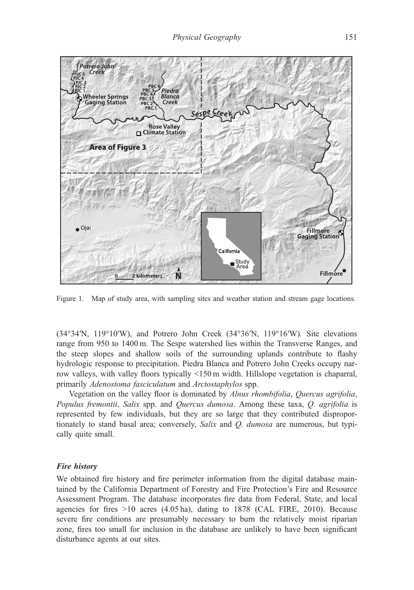

Figure 1. Map of study area, with sampling sites and weather station and stream gage locations.

(34°34′N, 119°10′W), and Potrero John Creek (34°36′N, 119°16′W). Site elevations range from 950 to 1400 m. The Sespe watershed lies within the Transverse Ranges, and the steep slopes and shallow soils of the surrounding uplands contribute to flashy hydrologic response to precipitation. Piedra Blanca and Potrero John Creeks occupy narrow valleys, with valley floors typically <150 m width. Hillslope vegetation is chaparral, primarily Adenostoma fasciculatum and Arctostaphylos spp.

Vegetation on the valley floor is dominated by Alnus rhombifolia, Quercus agrifolia, Populus fremontii, Salix spp. and Quercus dumosa. Among these taxa, Q. agrifolia is represented by few individuals, but they are so large that they contributed disproportionately to stand basal area; conversely, Salix and Q. dumosa are numerous, but typically quite small.

### Fire history

We obtained fire history and fire perimeter information from the digital database maintained by the California Department of Forestry and Fire Protection's Fire and Resource Assessment Program. The database incorporates fire data from Federal, State, and local agencies for fires >10 acres (4.05 ha), dating to 1878 (CAL FIRE, 2010). Because severe fire conditions are presumably necessary to burn the relatively moist riparian zone, fires too small for inclusion in the database are unlikely to have been significant disturbance agents at our sites.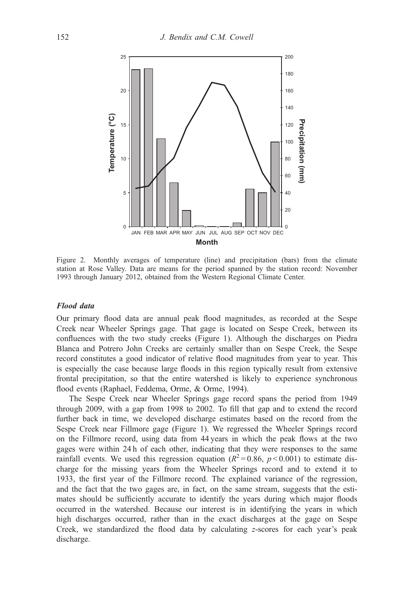

Figure 2. Monthly averages of temperature (line) and precipitation (bars) from the climate station at Rose Valley. Data are means for the period spanned by the station record: November 1993 through January 2012, obtained from the Western Regional Climate Center.

### Flood data

Our primary flood data are annual peak flood magnitudes, as recorded at the Sespe Creek near Wheeler Springs gage. That gage is located on Sespe Creek, between its confluences with the two study creeks (Figure 1). Although the discharges on Piedra Blanca and Potrero John Creeks are certainly smaller than on Sespe Creek, the Sespe record constitutes a good indicator of relative flood magnitudes from year to year. This is especially the case because large floods in this region typically result from extensive frontal precipitation, so that the entire watershed is likely to experience synchronous flood events (Raphael, Feddema, Orme, & Orme, 1994).

The Sespe Creek near Wheeler Springs gage record spans the period from 1949 through 2009, with a gap from 1998 to 2002. To fill that gap and to extend the record further back in time, we developed discharge estimates based on the record from the Sespe Creek near Fillmore gage (Figure 1). We regressed the Wheeler Springs record on the Fillmore record, using data from 44 years in which the peak flows at the two gages were within 24 h of each other, indicating that they were responses to the same rainfall events. We used this regression equation ( $R^2 = 0.86$ ,  $p < 0.001$ ) to estimate discharge for the missing years from the Wheeler Springs record and to extend it to 1933, the first year of the Fillmore record. The explained variance of the regression, and the fact that the two gages are, in fact, on the same stream, suggests that the estimates should be sufficiently accurate to identify the years during which major floods occurred in the watershed. Because our interest is in identifying the years in which high discharges occurred, rather than in the exact discharges at the gage on Sespe Creek, we standardized the flood data by calculating z-scores for each year's peak discharge.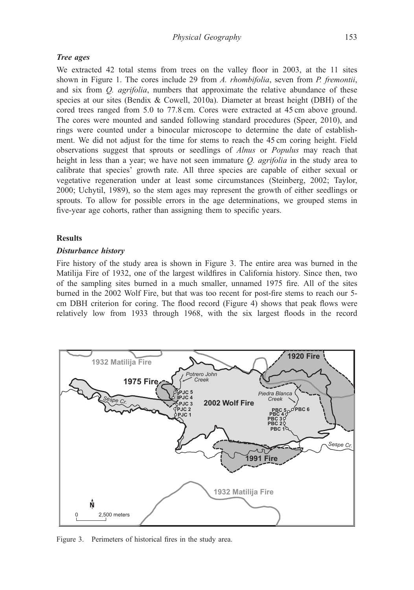# Tree ages

We extracted 42 total stems from trees on the valley floor in 2003, at the 11 sites shown in Figure 1. The cores include 29 from A. rhombifolia, seven from P. fremontii, and six from *O. agrifolia*, numbers that approximate the relative abundance of these species at our sites (Bendix & Cowell, 2010a). Diameter at breast height (DBH) of the cored trees ranged from 5.0 to 77.8 cm. Cores were extracted at 45 cm above ground. The cores were mounted and sanded following standard procedures (Speer, 2010), and rings were counted under a binocular microscope to determine the date of establishment. We did not adjust for the time for stems to reach the 45 cm coring height. Field observations suggest that sprouts or seedlings of Alnus or Populus may reach that height in less than a year; we have not seen immature  $Q$ . *agrifolia* in the study area to calibrate that species' growth rate. All three species are capable of either sexual or vegetative regeneration under at least some circumstances (Steinberg, 2002; Taylor, 2000; Uchytil, 1989), so the stem ages may represent the growth of either seedlings or sprouts. To allow for possible errors in the age determinations, we grouped stems in five-year age cohorts, rather than assigning them to specific years.

### **Results**

### Disturbance history

Fire history of the study area is shown in Figure 3. The entire area was burned in the Matilija Fire of 1932, one of the largest wildfires in California history. Since then, two of the sampling sites burned in a much smaller, unnamed 1975 fire. All of the sites burned in the 2002 Wolf Fire, but that was too recent for post-fire stems to reach our 5 cm DBH criterion for coring. The flood record (Figure 4) shows that peak flows were relatively low from 1933 through 1968, with the six largest floods in the record



Figure 3. Perimeters of historical fires in the study area.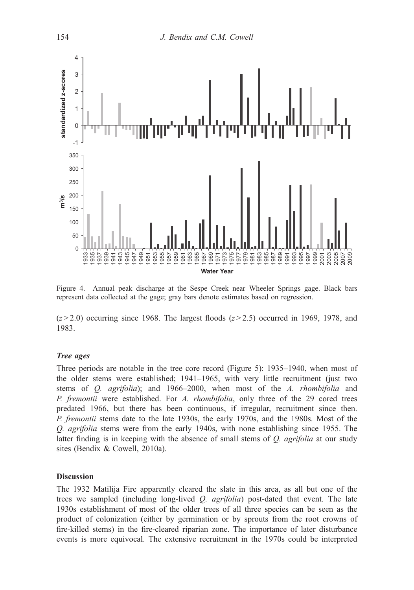

Figure 4. Annual peak discharge at the Sespe Creek near Wheeler Springs gage. Black bars represent data collected at the gage; gray bars denote estimates based on regression.

 $(z > 2.0)$  occurring since 1968. The largest floods  $(z > 2.5)$  occurred in 1969, 1978, and 1983.

### Tree ages

Three periods are notable in the tree core record (Figure 5): 1935–1940, when most of the older stems were established; 1941–1965, with very little recruitment (just two stems of Q. agrifolia); and 1966–2000, when most of the A. rhombifolia and P. fremontii were established. For A. rhombifolia, only three of the 29 cored trees predated 1966, but there has been continuous, if irregular, recruitment since then. P. fremontii stems date to the late 1930s, the early 1970s, and the 1980s. Most of the Q. agrifolia stems were from the early 1940s, with none establishing since 1955. The latter finding is in keeping with the absence of small stems of  $Q$ . agrifolia at our study sites (Bendix & Cowell, 2010a).

# Discussion

The 1932 Matilija Fire apparently cleared the slate in this area, as all but one of the trees we sampled (including long-lived  $Q$ . *agrifolia*) post-dated that event. The late 1930s establishment of most of the older trees of all three species can be seen as the product of colonization (either by germination or by sprouts from the root crowns of fire-killed stems) in the fire-cleared riparian zone. The importance of later disturbance events is more equivocal. The extensive recruitment in the 1970s could be interpreted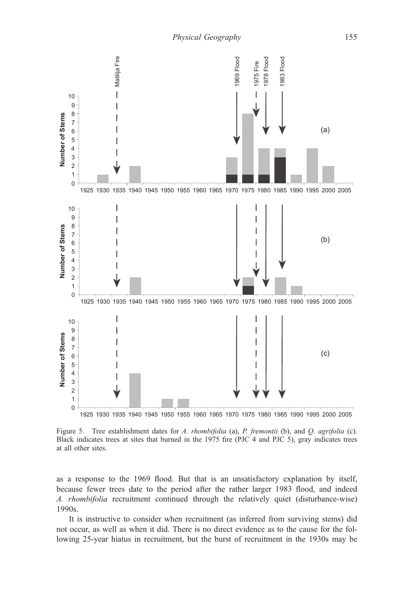

Figure 5. Tree establishment dates for A. rhombifolia (a), P. fremontii (b), and Q. agrifolia (c). Black indicates trees at sites that burned in the 1975 fire (PJC 4 and PJC 5), gray indicates trees at all other sites.

as a response to the 1969 flood. But that is an unsatisfactory explanation by itself, because fewer trees date to the period after the rather larger 1983 flood, and indeed A. rhombifolia recruitment continued through the relatively quiet (disturbance-wise) 1990s.

It is instructive to consider when recruitment (as inferred from surviving stems) did not occur, as well as when it did. There is no direct evidence as to the cause for the following 25-year hiatus in recruitment, but the burst of recruitment in the 1930s may be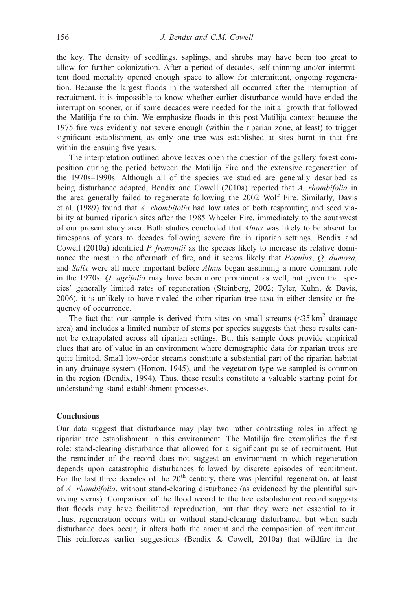the key. The density of seedlings, saplings, and shrubs may have been too great to allow for further colonization. After a period of decades, self-thinning and/or intermittent flood mortality opened enough space to allow for intermittent, ongoing regeneration. Because the largest floods in the watershed all occurred after the interruption of recruitment, it is impossible to know whether earlier disturbance would have ended the interruption sooner, or if some decades were needed for the initial growth that followed the Matilija fire to thin. We emphasize floods in this post-Matilija context because the 1975 fire was evidently not severe enough (within the riparian zone, at least) to trigger significant establishment, as only one tree was established at sites burnt in that fire within the ensuing five years.

The interpretation outlined above leaves open the question of the gallery forest composition during the period between the Matilija Fire and the extensive regeneration of the 1970s–1990s. Although all of the species we studied are generally described as being disturbance adapted, Bendix and Cowell (2010a) reported that A. rhombifolia in the area generally failed to regenerate following the 2002 Wolf Fire. Similarly, Davis et al. (1989) found that A. rhombifolia had low rates of both resprouting and seed viability at burned riparian sites after the 1985 Wheeler Fire, immediately to the southwest of our present study area. Both studies concluded that Alnus was likely to be absent for timespans of years to decades following severe fire in riparian settings. Bendix and Cowell (2010a) identified P. fremontii as the species likely to increase its relative dominance the most in the aftermath of fire, and it seems likely that Populus, Q. dumosa, and Salix were all more important before *Alnus* began assuming a more dominant role in the 1970s. Q. agrifolia may have been more prominent as well, but given that species' generally limited rates of regeneration (Steinberg, 2002; Tyler, Kuhn, & Davis, 2006), it is unlikely to have rivaled the other riparian tree taxa in either density or frequency of occurrence.

The fact that our sample is derived from sites on small streams  $( $35 \text{ km}^2$  drainage$ area) and includes a limited number of stems per species suggests that these results cannot be extrapolated across all riparian settings. But this sample does provide empirical clues that are of value in an environment where demographic data for riparian trees are quite limited. Small low-order streams constitute a substantial part of the riparian habitat in any drainage system (Horton, 1945), and the vegetation type we sampled is common in the region (Bendix, 1994). Thus, these results constitute a valuable starting point for understanding stand establishment processes.

### **Conclusions**

Our data suggest that disturbance may play two rather contrasting roles in affecting riparian tree establishment in this environment. The Matilija fire exemplifies the first role: stand-clearing disturbance that allowed for a significant pulse of recruitment. But the remainder of the record does not suggest an environment in which regeneration depends upon catastrophic disturbances followed by discrete episodes of recruitment. For the last three decades of the  $20<sup>th</sup>$  century, there was plentiful regeneration, at least of A. rhombifolia, without stand-clearing disturbance (as evidenced by the plentiful surviving stems). Comparison of the flood record to the tree establishment record suggests that floods may have facilitated reproduction, but that they were not essential to it. Thus, regeneration occurs with or without stand-clearing disturbance, but when such disturbance does occur, it alters both the amount and the composition of recruitment. This reinforces earlier suggestions (Bendix & Cowell, 2010a) that wildfire in the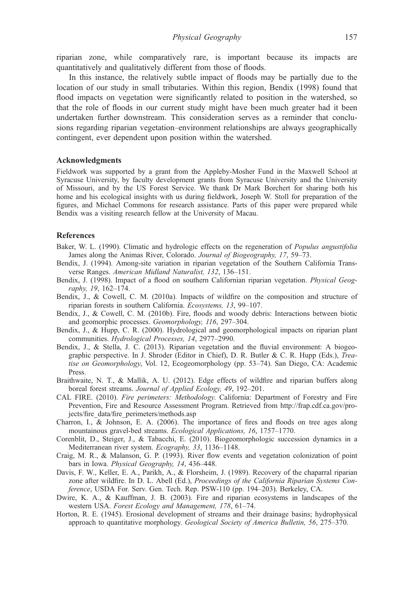riparian zone, while comparatively rare, is important because its impacts are quantitatively and qualitatively different from those of floods.

In this instance, the relatively subtle impact of floods may be partially due to the location of our study in small tributaries. Within this region, Bendix (1998) found that flood impacts on vegetation were significantly related to position in the watershed, so that the role of floods in our current study might have been much greater had it been undertaken further downstream. This consideration serves as a reminder that conclusions regarding riparian vegetation–environment relationships are always geographically contingent, ever dependent upon position within the watershed.

#### Acknowledgments

Fieldwork was supported by a grant from the Appleby-Mosher Fund in the Maxwell School at Syracuse University, by faculty development grants from Syracuse University and the University of Missouri, and by the US Forest Service. We thank Dr Mark Borchert for sharing both his home and his ecological insights with us during fieldwork, Joseph W. Stoll for preparation of the figures, and Michael Commons for research assistance. Parts of this paper were prepared while Bendix was a visiting research fellow at the University of Macau.

### References

- Baker, W. L. (1990). Climatic and hydrologic effects on the regeneration of *Populus angustifolia* James along the Animas River, Colorado. Journal of Biogeography, 17, 59–73.
- Bendix, J. (1994). Among-site variation in riparian vegetation of the Southern California Transverse Ranges. American Midland Naturalist, 132, 136–151.
- Bendix, J. (1998). Impact of a flood on southern Californian riparian vegetation. Physical Geography, 19, 162–174.
- Bendix, J., & Cowell, C. M. (2010a). Impacts of wildfire on the composition and structure of riparian forests in southern California. Ecosystems, 13, 99–107.
- Bendix, J., & Cowell, C. M. (2010b). Fire, floods and woody debris: Interactions between biotic and geomorphic processes. Geomorphology, 116, 297–304.
- Bendix, J., & Hupp, C. R. (2000). Hydrological and geomorphological impacts on riparian plant communities. Hydrological Processes, 14, 2977–2990.
- Bendix, J., & Stella, J. C. (2013). Riparian vegetation and the fluvial environment: A biogeographic perspective. In J. Shroder (Editor in Chief), D. R. Butler & C. R. Hupp (Eds.), Treatise on Geomorphology, Vol. 12, Ecogeomorphology (pp. 53–74). San Diego, CA: Academic Press.
- Braithwaite, N. T., & Mallik, A. U. (2012). Edge effects of wildfire and riparian buffers along boreal forest streams. Journal of Applied Ecology, 49, 192–201.
- CAL FIRE. (2010). Fire perimeters: Methodology. California: Department of Forestry and Fire Prevention, Fire and Resource Assessment Program. Retrieved from http://frap.cdf.ca.gov/projects/fire\_data/fire\_perimeters/methods.asp
- Charron, I., & Johnson, E. A. (2006). The importance of fires and floods on tree ages along mountainous gravel-bed streams. Ecological Applications, 16, 1757–1770.
- Corenblit, D., Steiger, J., & Tabacchi, E. (2010). Biogeomorphologic succession dynamics in a Mediterranean river system. Ecography, 33, 1136–1148.
- Craig, M. R., & Malanson, G. P. (1993). River flow events and vegetation colonization of point bars in Iowa. Physical Geography, 14, 436–448.
- Davis, F. W., Keller, E. A., Parikh, A., & Florsheim, J. (1989). Recovery of the chaparral riparian zone after wildfire. In D. L. Abell (Ed.), Proceedings of the California Riparian Systems Conference, USDA For. Serv. Gen. Tech. Rep. PSW-110 (pp. 194–203). Berkeley, CA.
- Dwire, K. A., & Kauffman, J. B. (2003). Fire and riparian ecosystems in landscapes of the western USA. Forest Ecology and Management, 178, 61–74.
- Horton, R. E. (1945). Erosional development of streams and their drainage basins; hydrophysical approach to quantitative morphology. Geological Society of America Bulletin, 56, 275–370.